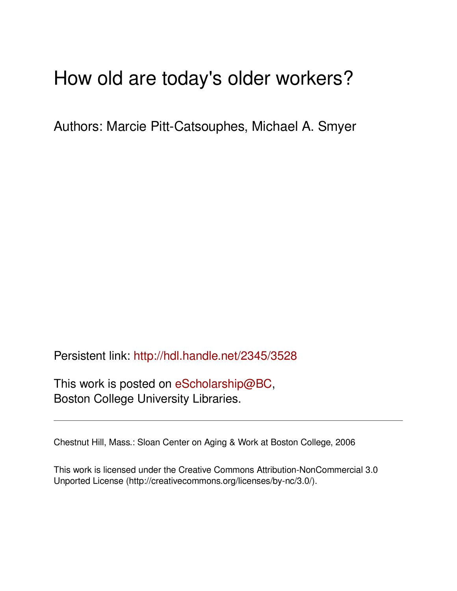# How old are today's older workers?

Authors: Marcie Pitt-Catsouphes, Michael A. Smyer

Persistent link: <http://hdl.handle.net/2345/3528>

This work is posted on [eScholarship@BC](http://escholarship.bc.edu), Boston College University Libraries.

Chestnut Hill, Mass.: Sloan Center on Aging & Work at Boston College, 2006

This work is licensed under the Creative Commons Attribution-NonCommercial 3.0 Unported License (http://creativecommons.org/licenses/by-nc/3.0/).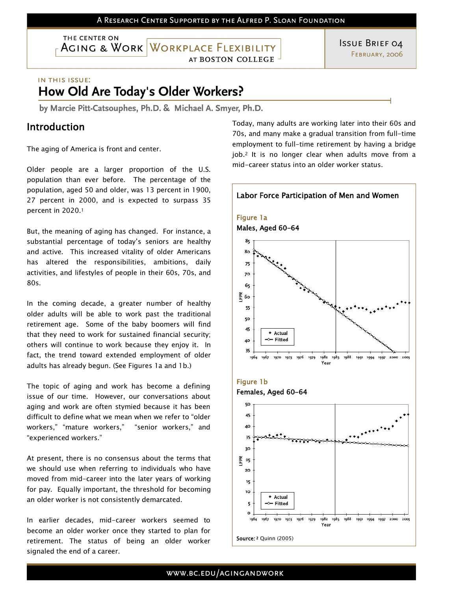THE CENTER ON AGING & WORK WORKPLACE FLEXIBILITY

AT BOSTON COLLEGE

**ISSUE BRIEF 04** FEBRUARY, 2006

#### IN THIS ISSUE:

# How Old Are Today's Older Workers?

by Marcie Pitt-Catsouphes, Ph.D. & Michael A. Smyer, Ph.D.

### Introduction

The aging of America is front and center.

Older people are a larger proportion of the U.S. population than ever before. The percentage of the population, aged 50 and older, was 13 percent in 1900, 27 percent in 2000, and is expected to surpass <sup>35</sup> percent in 2020. <sup>1</sup>

But, the meaning of aging has changed. For instance, a substantial percentage of today's seniors are healthy and active. This increased vitality of older Americans has altered the responsibilities, ambitions, daily activities, and lifestyles of people in their 60s, 70s, and 80s.

In the coming decade, a greater number of healthy older adults will be able to work past the traditional retirement age. Some of the baby boomers will find that they need to work for sustained financial security; others will continue to work because they enjoy it. In fact, the trend toward extended employment of older adults has already begun. (See Figures 1a and 1b.)

The topic of aging and work has become a defining issue of our time. However, our conversations about aging and work are often stymied because it has been difficult to define what we mean when we refer to "older workers," "mature workers," "senior workers," and "experienced workers."

At present, there is no consensus about the terms that we should use when referring to individuals who have moved from mid-career into the later years of working for pay. Equally important, the threshold for becoming an older worker is not consistently demarcated.

In earlier decades, mid-career workers seemed to become an older worker once they started to plan for retirement. The status of being an older worker signaled the end of a career.

Today, many adults are working later into their 60s and 70s, and many make a gradual transition from full-time employment to full-time retirement by having a bridge job.<sup>2</sup> It is no longer clear when adults move from a mid-career status into an older worker status.

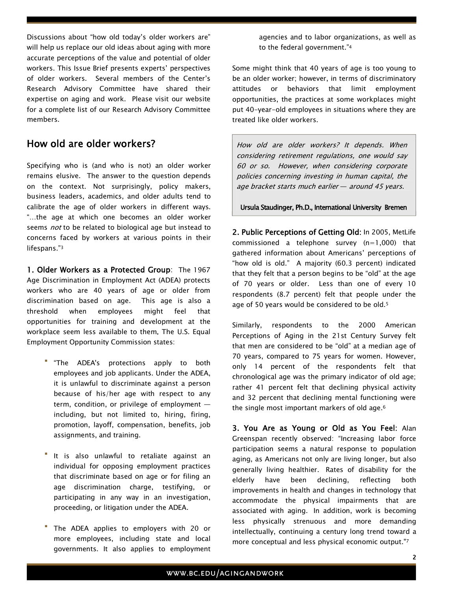Discussions about "how old today's older workers are" will help us replace our old ideas about aging with more accurate perceptions of the value and potential of older workers. This Issue Brief presents experts' perspectives of older workers. Several members of the Center's Research Advisory Committee have shared their expertise on aging and work. Please visit our website for a complete list of our Research Advisory Committee members.

### How old are older workers?

Specifying who is (and who is not) an older worker remains elusive. The answer to the question depends on the context. Not surprisingly, policy makers, business leaders, academics, and older adults tend to calibrate the age of older workers in different ways. "…the age at which one becomes an older worker seems *not* to be related to biological age but instead to concerns faced by workers at various points in their lifespans."3

1. Older Workers as a Protected Group: The 1967 Age Discrimination in Employment Act (ADEA) protects workers who are 40 years of age or older from discrimination based on age. This age is also a threshold when employees might feel that opportunities for training and development at the workplace seem less available to them. The U.S. Equal Employment Opportunity Commission states:

- "The ADEA's protections apply to both employees and job applicants. Under the ADEA, it is unlawful to discriminate against a person because of his/her age with respect to any term, condition, or privilege of employment including, but not limited to, hiring, firing, promotion, layoff, compensation, benefits, job assignments, and training.
- It is also unlawful to retaliate against an individual for opposing employment practices that discriminate based on age or for filing an age discrimination charge, testifying, or participating in any way in an investigation, proceeding, or litigation under the ADEA.
- The ADEA applies to employers with 20 or more employees, including state and local governments. It also applies to employment

agencies and to labor organizations, as well as to the federal government."<sup>4</sup>

Some might think that 40 years of age is too young to be an older worker; however, in terms of discriminatory attitudes or behaviors that limit employment opportunities, the practices at some workplaces might put 40-year-old employees in situations where they are treated like older workers.

How old are older workers? It depends. When considering retirement regulations, one would say 60 or so. However, when considering corporate policies concerning investing in human capital, the age bracket starts much earlier — around 45 years.

Ursula Staudinger, Ph.D., International University Bremen

2. Public Perceptions of Getting Old: In 2005, MetLife commissioned a telephone survey (n=1,000) that gathered information about Americans' perceptions of "how old is old." A majority (60.3 percent) indicated that they felt that a person begins to be "old" at the age of 70 years or older. Less than one of every 10 respondents (8.7 percent) felt that people under the age of 50 years would be considered to be old. <sup>5</sup>

Similarly, respondents to the 2000 American Perceptions of Aging in the 21st Century Survey felt that men are considered to be "old" at a median age of 70 years, compared to 75 years for women. However,<br>only 14 percent of the respondents felt that chronological age was the primary indicator of old age; rather 41 percent felt that declining physical activity and 32 percent that declining mental functioning were the single most important markers of old age. <sup>6</sup>

3. You Are as Young or Old as You Feel: Alan Greenspan recently observed: "Increasing labor force participation seems a natural response to population aging, as Americans not only are living longer, but also generally living healthier. Rates of disability for the elderly have been declining, reflecting both improvements in health and changes in technology that accommodate the physical impairments that are associated with aging. In addition, work is becoming less physically strenuous and more demanding intellectually, continuing a century long trend toward a more conceptual and less physical economic output."7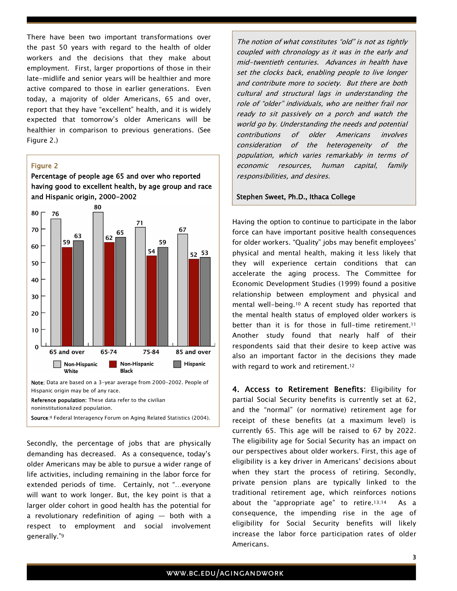There have been two important transformations over the past 50 years with regard to the health of older workers and the decisions that they make about employment. First, larger proportions of those in their late-midlife and senior years will be healthier and more active compared to those in earlier generations. Even today, a majority of older Americans, 65 and over, report that they have "excellent" health, and it is widely expected that tomorrow's older Americans will be healthier in comparison to previous generations. (See Figure 2.)

#### Figure 2

Percentage of people age 65 and over who reported having good to excellent health, by age group and race and Hispanic origin, 2000-2002



Secondly, the percentage of jobs that are physically demanding has decreased. As a consequence, today's older Americans may be able to pursue a wider range of life activities, including remaining in the labor force for extended periods of time. Certainly, not "…everyone will want to work longer. But, the key point is that a larger older cohort in good health has the potential for a revolutionary redefinition of aging — both with a respect to employment and social involvement generally."<sup>9</sup>

The notion of what constitutes "old" is not as tightly coupled with chronology as it was in the early and mid-twentieth centuries. Advances in health have set the clocks back, enabling people to live longer and contribute more to society. But there are both cultural and structural lags in understanding the role of "older" individuals, who are neither frail nor ready to sit passively on a porch and watch the world go by. Understanding the needs and potential contributions of older Americans involves consideration of the heterogeneity of the population, which varies remarkably in terms of economic resources, human capital, family responsibilities, and desires.

#### Stephen Sweet, Ph.D., Ithaca College

Having the option to continue to participate in the labor force can have important positive health consequences for older workers. "Quality" jobs may benefit employees' physical and mental health, making it less likely that they will experience certain conditions that can accelerate the aging process. The Committee for Economic Development Studies (1999) found a positive relationship between employment and physical and mental well-being. 10 A recent study has reported that the mental health status of employed older workers is better than it is for those in full-time retirement.<sup>11</sup> Another study found that nearly half of their respondents said that their desire to keep active was also an important factor in the decisions they made with regard to work and retirement.<sup>12</sup>

4. Access to Retirement Benefits: Eligibility for partial Social Security benefits is currently set at 62, and the "normal" (or normative) retirement age for receipt of these benefits (at a maximum level) is currently 65. This age will be raised to 67 by 2022. The eligibility age for Social Security has an impact on our perspectives about older workers. First, this age of eligibility is a key driver in Americans' decisions about when they start the process of retiring. Secondly, private pension plans are typically linked to the traditional retirement age, which reinforces notions about the "appropriate age" to retire.<sup>13;14</sup> As a consequence, the impending rise in the age of eligibility for Social Security benefits will likely increase the labor force participation rates of older Americans.

Source:<sup>8</sup> Federal Interagency Forum on Aging Related Statistics (2004).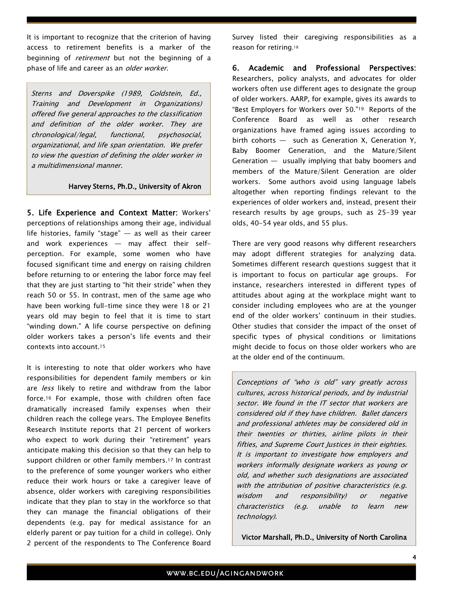It is important to recognize that the criterion of having access to retirement benefits is a marker of the beginning of *retirement* but not the beginning of a phase of life and career as an *older worker*.

Sterns and Doverspike (1989, Goldstein, Ed., Training and Development in Organizations) offered five general approaches to the classification and definition of the older worker. They are chronological/legal, functional, psychosocial, organizational, and life span orientation. We prefer to view the question of defining the older worker in a multidimensional manner.

#### Harvey Sterns, Ph.D., University of Akron

5. Life Experience and Context Matter: Workers' perceptions of relationships among their age, individual life histories, family "stage" — as well as their career and work experiences — may affect their self- perception. For example, some women who have focused significant time and energy on raising children before returning to or entering the labor force may feel that they are just starting to "hit their stride" when they reach 50 or 55. In contrast, men of the same age who have been working full-time since they were 18 or 21 years old may begin to feel that it is time to start "winding down." A life course perspective on defining older workers takes a person's life events and their contexts into account. <sup>15</sup>

It is interesting to note that older workers who have responsibilities for dependent family members or kin are *less* likely to retire and withdraw from the labor force. <sup>16</sup> For example, those with children often face dramatically increased family expenses when their children reach the college years. The Employee Benefits Research Institute reports that 21 percent of workers who expect to work during their "retirement" years anticipate making this decision so that they can help to support children or other family members.<sup>17</sup> In contrast to the preference of some younger workers who either reduce their work hours or take a caregiver leave of absence, older workers with caregiving responsibilities indicate that they plan to stay in the workforce so that they can manage the financial obligations of their dependents (e.g. pay for medical assistance for an elderly parent or pay tuition for a child in college). Only 2 percent of the respondents to The Conference Board Survey listed their caregiving responsibilities as a reason for retiring.<sup>18</sup>

6. Academic and Professional Perspectives: Researchers, policy analysts, and advocates for older workers often use different ages to designate the group of older workers. AARP, for example, gives its awards to "Best Employers for Workers over 50." <sup>19</sup> Reports of the Conference Board as well as other research organizations have framed aging issues according to birth cohorts — such as Generation X, Generation Y, Baby Boomer Generation, and the Mature/Silent Generation — usually implying that baby boomers and members of the Mature/Silent Generation are older workers. Some authors avoid using language labels altogether when reporting findings relevant to the experiences of older workers and, instead, present their research results by age groups, such as 25-39 year olds, 40-54 year olds, and 55 plus.

There are very good reasons why different researchers may adopt different strategies for analyzing data. Sometimes different research questions suggest that it is important to focus on particular age groups. For instance, researchers interested in different types of attitudes about aging at the workplace might want to consider including employees who are at the younger end of the older workers' continuum in their studies.<br>Other studies that consider the impact of the onset of specific types of physical conditions or limitations might decide to focus on those older workers who are at the older end of the continuum.

Conceptions of "who is old" vary greatly across cultures, across historical periods, and by industrial sector. We found in the IT sector that workers are considered old if they have children. Ballet dancers and professional athletes may be considered old in their twenties or thirties, airline pilots in their fifties, and Supreme Court Justices in their eighties. It is important to investigate how employers and workers informally designate workers as young or old, and whether such designations are associated with the attribution of positive characteristics (e.g. wisdom and responsibility) or negative characteristics (e.g. unable to learn new technology).

Victor Marshall, Ph.D., University of North Carolina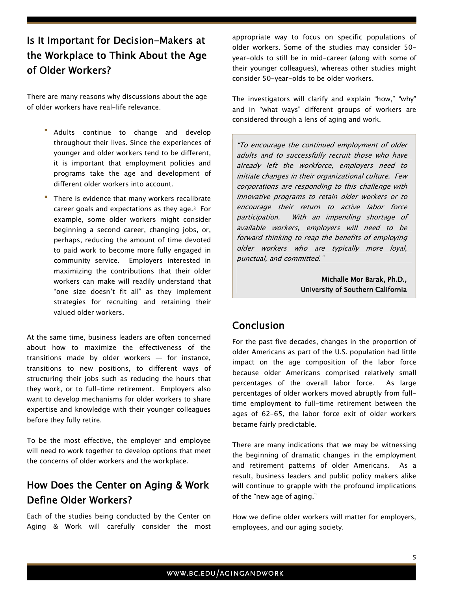# Is It Important for Decision-Makers at the Workplace to Think About the Age of Older Workers?

There are many reasons why discussions about the age of older workers have real-life relevance.

- Adults continue to change and develop throughout their lives. Since the experiences of younger and older workers tend to be different, it is important that employment policies and programs take the age and development of different older workers into account.
- There is evidence that many workers recalibrate career goals and expectations as they age.<sup>3</sup> For example, some older workers might consider beginning a second career, changing jobs, or, perhaps, reducing the amount of time devoted to paid work to become more fully engaged in community service. Employers interested in maximizing the contributions that their older workers can make will readily understand that "one size doesn't fit all" as they implement strategies for recruiting and retaining their valued older workers.

At the same time, business leaders are often concerned about how to maximize the effectiveness of the transitions made by older workers  $-$  for instance, transitions to new positions, to different ways of structuring their jobs such as reducing the hours that they work, or to full-time retirement. Employers also want to develop mechanisms for older workers to share expertise and knowledge with their younger colleagues before they fully retire.

To be the most effective, the employer and employee will need to work together to develop options that meet the concerns of older workers and the workplace.

## How Does the Center on Aging & Work Define Older Workers?

Each of the studies being conducted by the Center on Aging & Work will carefully consider the most

appropriate way to focus on specific populations of older workers. Some of the studies may consider 50- year-olds to still be in mid-career (along with some of their younger colleagues), whereas other studies might consider 50-year-olds to be older workers.

The investigators will clarify and explain "how," "why" and in "what ways" different groups of workers are considered through a lens of aging and work.

"To encourage the continued employment of older adults and to successfully recruit those who have already left the workforce, employers need to initiate changes in their organizational culture. Few corporations are responding to this challenge with innovative programs to retain older workers or to encourage their return to active labor force participation. With an impending shortage of available workers, employers will need to be forward thinking to reap the benefits of employing older workers who are typically more loyal, punctual, and committed."

Michalle Mor Barak, Ph.D., University of Southern California

### Conclusion

For the past five decades, changes in the proportion of older Americans as part of the U.S. population had little impact on the age composition of the labor force because older Americans comprised relatively small percentages of the overall labor force. As large percentages of older workers moved abruptly from fulltime employment to full-time retirement between the ages of 62-65, the labor force exit of older workers became fairly predictable.

There are many indications that we may be witnessing the beginning of dramatic changes in the employment and retirement patterns of older Americans. As a result, business leaders and public policy makers alike will continue to grapple with the profound implications of the "new age of aging."

How we define older workers will matter for employers, employees, and our aging society.